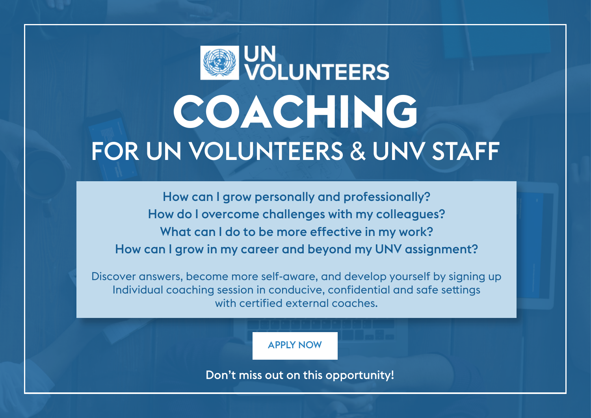

How can I grow personally and professionally? How do I overcome challenges with my colleagues? What can I do to be more effective in my work? How can I grow in my career and beyond my UNV assignment?

Discover answers, become more self-aware, and develop yourself by signing up Individual coaching session in conducive, confidential and safe settings with certified external coaches.

APPLY NOW

Don't miss out on this opportunity!